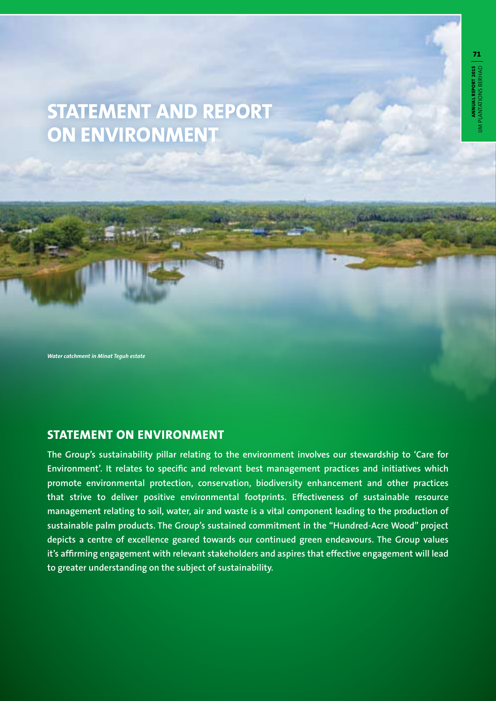# **STATEMENT AND REPORT ON ENVIRONMENT**

*Water catchment in Minat Teguh estate*

## **STATEMENT ON ENVIRONMENT**

**The Group's sustainability pillar relating to the environment involves our stewardship to 'Care for Environment'. It relates to specific and relevant best management practices and initiatives which promote environmental protection, conservation, biodiversity enhancement and other practices that strive to deliver positive environmental footprints. Effectiveness of sustainable resource management relating to soil, water, air and waste is a vital component leading to the production of sustainable palm products. The Group's sustained commitment in the "Hundred-Acre Wood" project depicts a centre of excellence geared towards our continued green endeavours. The Group values it's affirming engagement with relevant stakeholders and aspires that effective engagement will lead to greater understanding on the subject of sustainability.**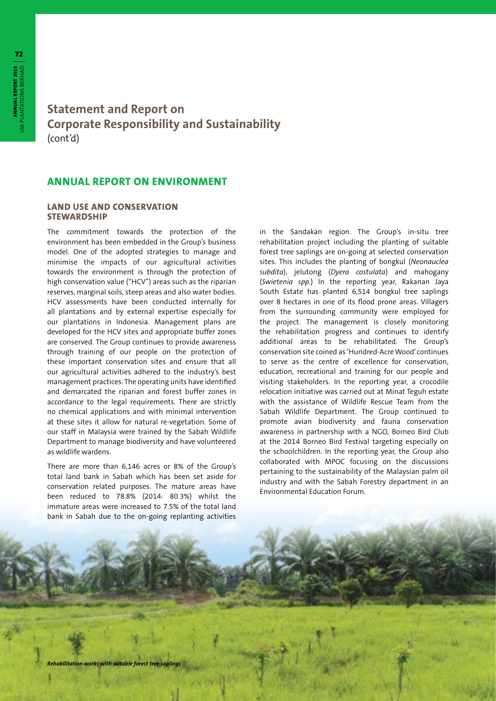## **Statement and Report on Corporate Responsibility and Sustainability** (cont'd)

### **ANNUAL REPORT ON ENVIRONMENT**

#### **LAND USE AND CONSERVATION STEWARDSHIP**

The commitment towards the protection of the environment has been embedded in the Group's business model. One of the adopted strategies to manage and minimise the impacts of our agricultural activities towards the environment is through the protection of high conservation value ("HCV") areas such as the riparian reserves, marginal soils, steep areas and also water bodies. HCV assessments have been conducted internally for all plantations and by external expertise especially for our plantations in Indonesia. Management plans are developed for the HCV sites and appropriate buffer zones are conserved. The Group continues to provide awareness through training of our people on the protection of these important conservation sites and ensure that all our agricultural activities adhered to the industry's best management practices. The operating units have identified and demarcated the riparian and forest buffer zones in accordance to the legal requirements. There are strictly no chemical applications and with minimal intervention at these sites it allow for natural re-vegetation. Some of our staff in Malaysia were trained by the Sabah Wildlife Department to manage biodiversity and have volunteered as wildlife wardens.

There are more than 6,146 acres or 8% of the Group's total land bank in Sabah which has been set aside for conservation related purposes. The mature areas have been reduced to 78.8% (2014: 80.3%) whilst the immature areas were increased to 7.5% of the total land bank in Sabah due to the on-going replanting activities

in the Sandakan region. The Group's in-situ tree rehabilitation project including the planting of suitable forest tree saplings are on-going at selected conservation sites. This includes the planting of bongkul (*Neonauclea subdita*), jelutong (*Dyera costulata*) and mahogany (*Swietenia spp.*) In the reporting year, Rakanan Jaya South Estate has planted 6,514 bongkul tree saplings over 8 hectares in one of its flood prone areas. Villagers from the surrounding community were employed for the project. The management is closely monitoring the rehabilitation progress and continues to identify additional areas to be rehabilitated. The Group's conservation site coined as 'Hundred-Acre Wood' continues to serve as the centre of excellence for conservation, education, recreational and training for our people and visiting stakeholders. In the reporting year, a crocodile relocation initiative was carried out at Minat Teguh estate with the assistance of Wildlife Rescue Team from the Sabah Wildlife Department. The Group continued to promote avian biodiversity and fauna conservation awareness in partnership with a NGO, Borneo Bird Club at the 2014 Borneo Bird Festival targeting especially on the schoolchildren. In the reporting year, the Group also collaborated with MPOC focusing on the discussions pertaining to the sustainability of the Malaysian palm oil industry and with the Sabah Forestry department in an Environmental Education Forum.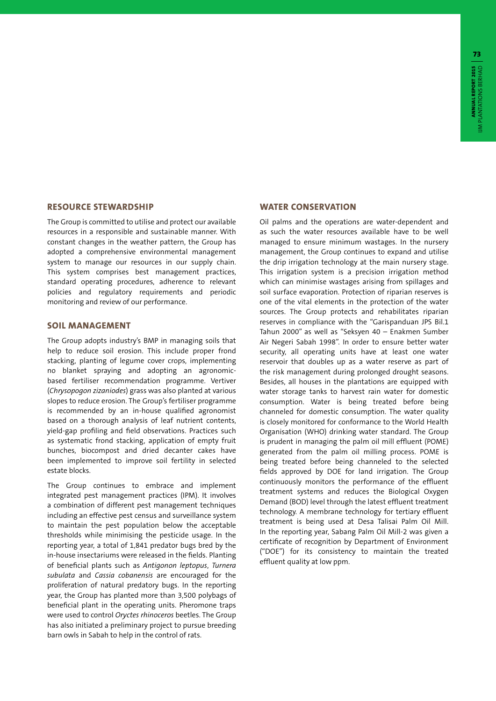#### **RESOURCE STEWARDSHIP**

The Group is committed to utilise and protect our available resources in a responsible and sustainable manner. With constant changes in the weather pattern, the Group has adopted a comprehensive environmental management system to manage our resources in our supply chain. This system comprises best management practices, standard operating procedures, adherence to relevant policies and regulatory requirements and periodic monitoring and review of our performance.

#### **SOIL MANAGEMENT**

The Group adopts industry's BMP in managing soils that help to reduce soil erosion. This include proper frond stacking, planting of legume cover crops, implementing no blanket spraying and adopting an agronomicbased fertiliser recommendation programme. Vertiver (*Chrysopogon zizaniodes*) grass was also planted at various slopes to reduce erosion. The Group's fertiliser programme is recommended by an in-house qualified agronomist based on a thorough analysis of leaf nutrient contents, yield-gap profiling and field observations. Practices such as systematic frond stacking, application of empty fruit bunches, biocompost and dried decanter cakes have been implemented to improve soil fertility in selected estate blocks.

The Group continues to embrace and implement integrated pest management practices (IPM). It involves a combination of different pest management techniques including an effective pest census and surveillance system to maintain the pest population below the acceptable thresholds while minimising the pesticide usage. In the reporting year, a total of 1,841 predator bugs bred by the in-house insectariums were released in the fields. Planting of beneficial plants such as *Antigonon leptopus*, *Turnera subulata* and *Cassia cobanensis* are encouraged for the proliferation of natural predatory bugs. In the reporting year, the Group has planted more than 3,500 polybags of beneficial plant in the operating units. Pheromone traps were used to control *Oryctes rhinoceros* beetles. The Group has also initiated a preliminary project to pursue breeding barn owls in Sabah to help in the control of rats.

#### **WATER CONSERVATION**

Oil palms and the operations are water-dependent and as such the water resources available have to be well managed to ensure minimum wastages. In the nursery management, the Group continues to expand and utilise the drip irrigation technology at the main nursery stage. This irrigation system is a precision irrigation method which can minimise wastages arising from spillages and soil surface evaporation. Protection of riparian reserves is one of the vital elements in the protection of the water sources. The Group protects and rehabilitates riparian reserves in compliance with the "Garispanduan JPS Bil.1 Tahun 2000" as well as "Seksyen 40 – Enakmen Sumber Air Negeri Sabah 1998". In order to ensure better water security, all operating units have at least one water reservoir that doubles up as a water reserve as part of the risk management during prolonged drought seasons. Besides, all houses in the plantations are equipped with water storage tanks to harvest rain water for domestic consumption. Water is being treated before being channeled for domestic consumption. The water quality is closely monitored for conformance to the World Health Organisation (WHO) drinking water standard. The Group is prudent in managing the palm oil mill effluent (POME) generated from the palm oil milling process. POME is being treated before being channeled to the selected fields approved by DOE for land irrigation. The Group continuously monitors the performance of the effluent treatment systems and reduces the Biological Oxygen Demand (BOD) level through the latest effluent treatment technology. A membrane technology for tertiary effluent treatment is being used at Desa Talisai Palm Oil Mill. In the reporting year, Sabang Palm Oil Mill-2 was given a certificate of recognition by Department of Environment ("DOE") for its consistency to maintain the treated effluent quality at low ppm.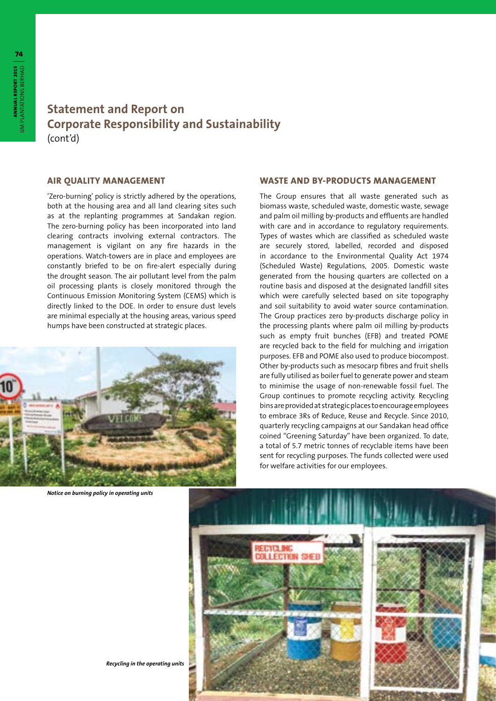## **Statement and Report on Corporate Responsibility and Sustainability** (cont'd)

#### **AIR QUALITY MANAGEMENT**

'Zero-burning' policy is strictly adhered by the operations, both at the housing area and all land clearing sites such as at the replanting programmes at Sandakan region. The zero-burning policy has been incorporated into land clearing contracts involving external contractors. The management is vigilant on any fire hazards in the operations. Watch-towers are in place and employees are constantly briefed to be on fire-alert especially during the drought season. The air pollutant level from the palm oil processing plants is closely monitored through the Continuous Emission Monitoring System (CEMS) which is directly linked to the DOE. In order to ensure dust levels are minimal especially at the housing areas, various speed humps have been constructed at strategic places.



*Notice on burning policy in operating units*

#### **WASTE AND BY-PRODUCTS MANAGEMENT**

The Group ensures that all waste generated such as biomass waste, scheduled waste, domestic waste, sewage and palm oil milling by-products and effluents are handled with care and in accordance to regulatory requirements. Types of wastes which are classified as scheduled waste are securely stored, labelled, recorded and disposed in accordance to the Environmental Quality Act 1974 (Scheduled Waste) Regulations, 2005. Domestic waste generated from the housing quarters are collected on a routine basis and disposed at the designated landfill sites which were carefully selected based on site topography and soil suitability to avoid water source contamination. The Group practices zero by-products discharge policy in the processing plants where palm oil milling by-products such as empty fruit bunches (EFB) and treated POME are recycled back to the field for mulching and irrigation purposes. EFB and POME also used to produce biocompost. Other by-products such as mesocarp fibres and fruit shells are fully utilised as boiler fuel to generate power and steam to minimise the usage of non-renewable fossil fuel. The Group continues to promote recycling activity. Recycling bins are provided at strategic places to encourage employees to embrace 3Rs of Reduce, Reuse and Recycle. Since 2010, quarterly recycling campaigns at our Sandakan head office coined "Greening Saturday" have been organized. To date, a total of 5.7 metric tonnes of recyclable items have been sent for recycling purposes. The funds collected were used for welfare activities for our employees.



*Recycling in the operating units*